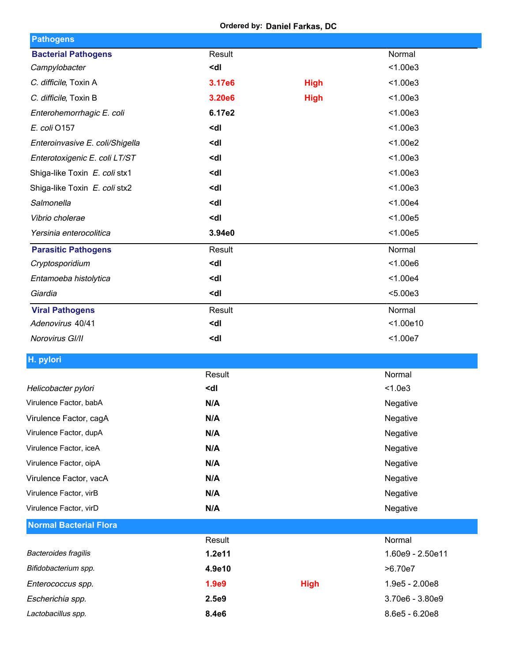**Ordered by: Daniel Farkas, DC**

| <b>Pathogens</b>                |                                                 |             |                  |
|---------------------------------|-------------------------------------------------|-------------|------------------|
| <b>Bacterial Pathogens</b>      | Result                                          |             | Normal           |
| Campylobacter                   | <dl< td=""><td></td><td>&lt; 1.00e3</td></dl<>  |             | < 1.00e3         |
| C. difficile, Toxin A           | 3.17e6                                          | <b>High</b> | < 1.00e3         |
| C. difficile, Toxin B           | 3.20e6                                          | <b>High</b> | < 1.00e3         |
| Enterohemorrhagic E. coli       | 6.17e2                                          |             | < 1.00e3         |
| E. coli O157                    | <dl< td=""><td></td><td>&lt; 1.00e3</td></dl<>  |             | < 1.00e3         |
| Enteroinvasive E. coli/Shigella | <dl< td=""><td></td><td>&lt; 1.00e2</td></dl<>  |             | < 1.00e2         |
| Enterotoxigenic E. coli LT/ST   | <dl< td=""><td></td><td>&lt; 1.00e3</td></dl<>  |             | < 1.00e3         |
| Shiga-like Toxin E. coli stx1   | <dl< td=""><td></td><td>&lt; 1.00e3</td></dl<>  |             | < 1.00e3         |
| Shiga-like Toxin E. coli stx2   | <dl< td=""><td></td><td>&lt; 1.00e3</td></dl<>  |             | < 1.00e3         |
| Salmonella                      | <dl< td=""><td></td><td>&lt; 1.00e4</td></dl<>  |             | < 1.00e4         |
| Vibrio cholerae                 | <dl< td=""><td></td><td>&lt; 1.00e5</td></dl<>  |             | < 1.00e5         |
| Yersinia enterocolitica         | 3.94e0                                          |             | < 1.00e5         |
| <b>Parasitic Pathogens</b>      | Result                                          |             | Normal           |
| Cryptosporidium                 | <dl< td=""><td></td><td>&lt; 1.00e6</td></dl<>  |             | < 1.00e6         |
| Entamoeba histolytica           | <dl< td=""><td></td><td>&lt; 1.00e4</td></dl<>  |             | < 1.00e4         |
| Giardia                         | <dl< td=""><td></td><td>&lt; 5.00e3</td></dl<>  |             | < 5.00e3         |
| <b>Viral Pathogens</b>          | Result                                          |             | Normal           |
| Adenovirus 40/41                | <dl< td=""><td></td><td>&lt; 1.00e10</td></dl<> |             | < 1.00e10        |
| Norovirus GI/II                 | <dl< td=""><td></td><td>&lt; 1.00e7</td></dl<>  |             | < 1.00e7         |
| H. pylori                       |                                                 |             |                  |
|                                 | Result                                          |             | Normal           |
| Helicobacter pylori             | <dl< td=""><td></td><td>&lt; 1.0e3</td></dl<>   |             | < 1.0e3          |
| Virulence Factor, babA          | N/A                                             |             | Negative         |
| Virulence Factor, cagA          | N/A                                             |             | Negative         |
| Virulence Factor, dupA          | N/A                                             |             | Negative         |
| Virulence Factor, iceA          | N/A                                             |             | Negative         |
| Virulence Factor, oipA          | N/A                                             |             | Negative         |
| Virulence Factor, vacA          | N/A                                             |             | Negative         |
| Virulence Factor, virB          | N/A                                             |             | Negative         |
| Virulence Factor, virD          | N/A                                             |             | Negative         |
| <b>Normal Bacterial Flora</b>   |                                                 |             |                  |
|                                 | Result                                          |             | Normal           |
| Bacteroides fragilis            | 1.2e11                                          |             | 1.60e9 - 2.50e11 |
| Bifidobacterium spp.            | 4.9e10                                          |             | >6.70e7          |
| Enterococcus spp.               | 1.9e9                                           | <b>High</b> | 1.9e5 - 2.00e8   |
| Escherichia spp.                | 2.5e9                                           |             | 3.70e6 - 3.80e9  |
| Lactobacillus spp.              | 8.4e6                                           |             | 8.6e5 - 6.20e8   |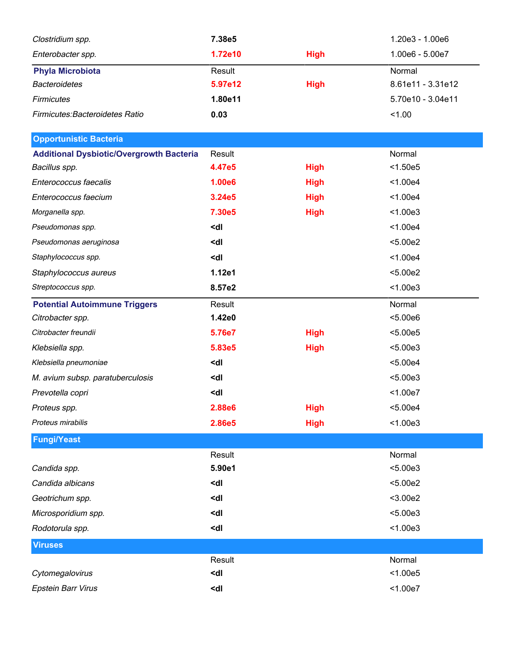| Clostridium spp.                                | 7.38e5                                                 |             | 1.20e3 - 1.00e6   |
|-------------------------------------------------|--------------------------------------------------------|-------------|-------------------|
| Enterobacter spp.                               | 1.72e10                                                | <b>High</b> | 1.00e6 - 5.00e7   |
| <b>Phyla Microbiota</b>                         | Result                                                 |             | Normal            |
| <b>Bacteroidetes</b>                            | 5.97e12                                                | <b>High</b> | 8.61e11 - 3.31e12 |
| <b>Firmicutes</b>                               | 1.80e11                                                |             | 5.70e10 - 3.04e11 |
| Firmicutes: Bacteroidetes Ratio                 | 0.03                                                   |             | < 1.00            |
| <b>Opportunistic Bacteria</b>                   |                                                        |             |                   |
| <b>Additional Dysbiotic/Overgrowth Bacteria</b> | Result                                                 |             | Normal            |
| Bacillus spp.                                   | 4.47e5                                                 | <b>High</b> | < 1.50e5          |
| Enterococcus faecalis                           | 1.00e6                                                 | <b>High</b> | < 1.00e4          |
| Enterococcus faecium                            | 3.24e5                                                 | <b>High</b> | < 1.00e4          |
| Morganella spp.                                 | 7.30e5                                                 | <b>High</b> | < 1.00e3          |
| Pseudomonas spp.                                | <dl< td=""><td></td><td>&lt; 1.00e4</td></dl<>         |             | < 1.00e4          |
| Pseudomonas aeruginosa                          | <dl< td=""><td></td><td>&lt; 5.00e2</td></dl<>         |             | < 5.00e2          |
| Staphylococcus spp.                             | <dl< td=""><td></td><td>&lt; 1.00e4</td></dl<>         |             | < 1.00e4          |
| Staphylococcus aureus                           | 1.12e1                                                 |             | < 5.00e2          |
| Streptococcus spp.                              | 8.57e2                                                 |             | < 1.00e3          |
| <b>Potential Autoimmune Triggers</b>            | Result                                                 |             | Normal            |
| Citrobacter spp.                                | 1.42e0                                                 |             | < 5.00e6          |
| Citrobacter freundii                            | 5.76e7                                                 | <b>High</b> | < 5.00e5          |
| Klebsiella spp.                                 | 5.83e5                                                 | <b>High</b> | < 5.00e3          |
| Klebsiella pneumoniae                           | <dl< td=""><td></td><td>&lt; 5.00e4</td></dl<>         |             | < 5.00e4          |
| M. avium subsp. paratuberculosis                | <dl< td=""><td></td><td>&lt; 5.00e3</td></dl<>         |             | < 5.00e3          |
| Prevotella copri                                | <dl< td=""><td></td><td>&lt; 1.00e7</td></dl<>         |             | < 1.00e7          |
| Proteus spp.                                    | 2.88e6                                                 | <b>High</b> | $5.00e4$          |
| Proteus mirabilis                               | 2.86e5                                                 | <b>High</b> | < 1.00e3          |
| <b>Fungi/Yeast</b>                              |                                                        |             |                   |
|                                                 | Result                                                 |             | Normal            |
| Candida spp.                                    | 5.90e1                                                 |             | < 5.00e3          |
| Candida albicans                                | <dl< td=""><td></td><td>&lt; 5.00e2</td></dl<>         |             | < 5.00e2          |
| Geotrichum spp.                                 | <dl< td=""><td></td><td><math>3.00e2</math></td></dl<> |             | $3.00e2$          |
| Microsporidium spp.                             | <dl< td=""><td></td><td>&lt; 5.00e3</td></dl<>         |             | < 5.00e3          |
| Rodotorula spp.                                 | <dl< td=""><td></td><td>&lt; 1.00e3</td></dl<>         |             | < 1.00e3          |
| <b>Viruses</b>                                  |                                                        |             |                   |
|                                                 | Result                                                 |             | Normal            |
| Cytomegalovirus                                 | <dl< td=""><td></td><td>&lt; 1.00e5</td></dl<>         |             | < 1.00e5          |
| <b>Epstein Barr Virus</b>                       | <dl< td=""><td></td><td>&lt; 1.00e7</td></dl<>         |             | < 1.00e7          |